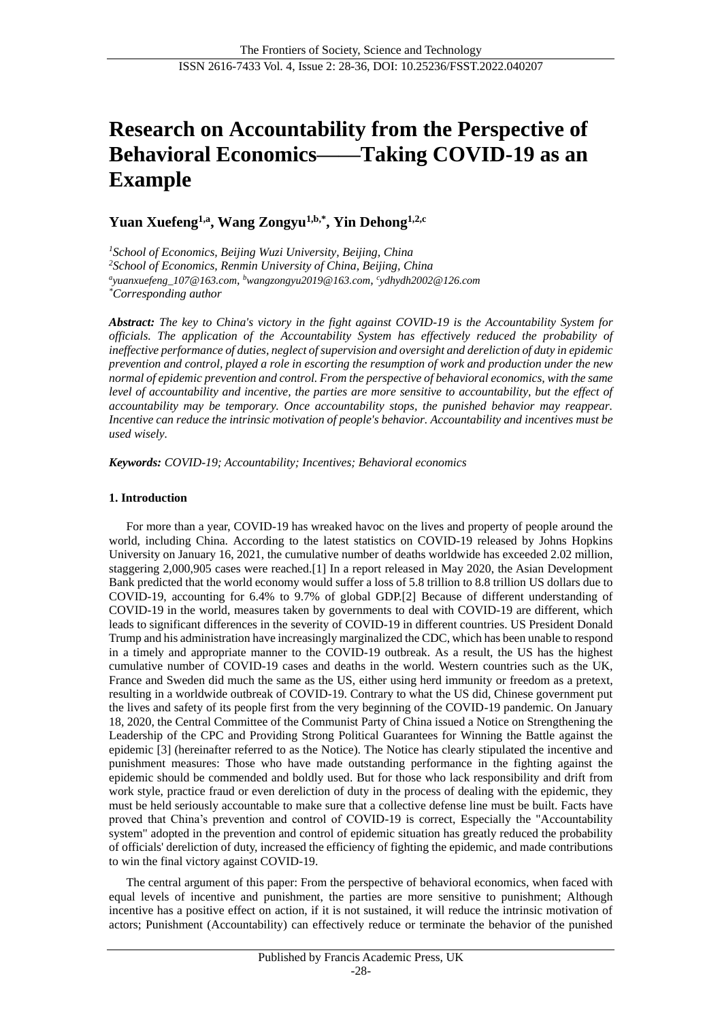# **Research on Accountability from the Perspective of Behavioral Economics——Taking COVID-19 as an Example**

**Yuan Xuefeng1,a , Wang Zongyu1,b,\* , Yin Dehong1,2,c**

*<sup>1</sup>School of Economics, Beijing Wuzi University, Beijing, China <sup>2</sup>School of Economics, Renmin University of China, Beijing, China a yuanxuefeng\_107@163.com, <sup>b</sup>wangzongyu2019@163.com, c [ydhydh2002@126.com](mailto:c%20ydhydh2002@126.com) \*Corresponding author*

*Abstract: The key to China's victory in the fight against COVID-19 is the Accountability System for officials. The application of the Accountability System has effectively reduced the probability of ineffective performance of duties, neglect of supervision and oversight and dereliction of duty in epidemic prevention and control, played a role in escorting the resumption of work and production under the new normal of epidemic prevention and control. From the perspective of behavioral economics, with the same level of accountability and incentive, the parties are more sensitive to accountability, but the effect of accountability may be temporary. Once accountability stops, the punished behavior may reappear. Incentive can reduce the intrinsic motivation of people's behavior. Accountability and incentives must be used wisely.*

*Keywords: COVID-19; Accountability; Incentives; Behavioral economics*

## **1. Introduction**

For more than a year, COVID-19 has wreaked havoc on the lives and property of people around the world, including China. According to the latest statistics on COVID-19 released by Johns Hopkins University on January 16, 2021, the cumulative number of deaths worldwide has exceeded 2.02 million, staggering 2,000,905 cases were reached.[1] In a report released in May 2020, the Asian Development Bank predicted that the world economy would suffer a loss of 5.8 trillion to 8.8 trillion US dollars due to COVID-19, accounting for 6.4% to 9.7% of global GDP.[2] Because of different understanding of COVID-19 in the world, measures taken by governments to deal with COVID-19 are different, which leads to significant differences in the severity of COVID-19 in different countries. US President Donald Trump and his administration have increasingly marginalized the CDC, which has been unable to respond in a timely and appropriate manner to the COVID-19 outbreak. As a result, the US has the highest cumulative number of COVID-19 cases and deaths in the world. Western countries such as the UK, France and Sweden did much the same as the US, either using herd immunity or freedom as a pretext, resulting in a worldwide outbreak of COVID-19. Contrary to what the US did, Chinese government put the lives and safety of its people first from the very beginning of the COVID-19 pandemic. On January 18, 2020, the Central Committee of the Communist Party of China issued a Notice on Strengthening the Leadership of the CPC and Providing Strong Political Guarantees for Winning the Battle against the epidemic [3] (hereinafter referred to as the Notice). The Notice has clearly stipulated the incentive and punishment measures: Those who have made outstanding performance in the fighting against the epidemic should be commended and boldly used. But for those who lack responsibility and drift from work style, practice fraud or even dereliction of duty in the process of dealing with the epidemic, they must be held seriously accountable to make sure that a collective defense line must be built. Facts have proved that China's prevention and control of COVID-19 is correct, Especially the "Accountability system" adopted in the prevention and control of epidemic situation has greatly reduced the probability of officials' dereliction of duty, increased the efficiency of fighting the epidemic, and made contributions to win the final victory against COVID-19.

The central argument of this paper: From the perspective of behavioral economics, when faced with equal levels of incentive and punishment, the parties are more sensitive to punishment; Although incentive has a positive effect on action, if it is not sustained, it will reduce the intrinsic motivation of actors; Punishment (Accountability) can effectively reduce or terminate the behavior of the punished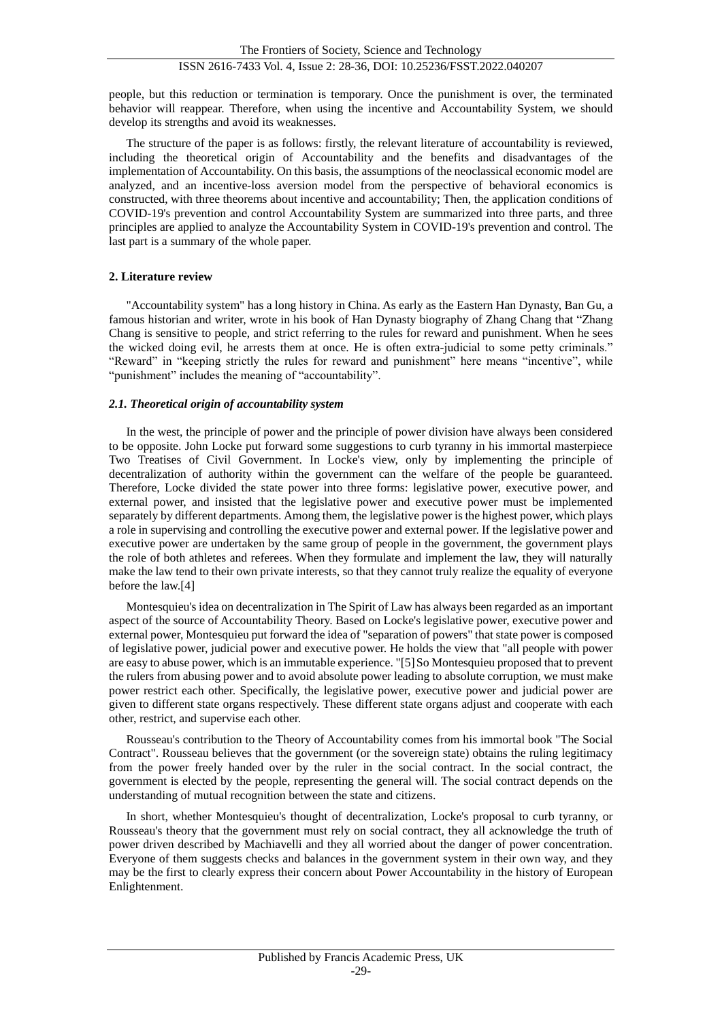people, but this reduction or termination is temporary. Once the punishment is over, the terminated behavior will reappear. Therefore, when using the incentive and Accountability System, we should develop its strengths and avoid its weaknesses.

The structure of the paper is as follows: firstly, the relevant literature of accountability is reviewed, including the theoretical origin of Accountability and the benefits and disadvantages of the implementation of Accountability. On this basis, the assumptions of the neoclassical economic model are analyzed, and an incentive-loss aversion model from the perspective of behavioral economics is constructed, with three theorems about incentive and accountability; Then, the application conditions of COVID-19's prevention and control Accountability System are summarized into three parts, and three principles are applied to analyze the Accountability System in COVID-19's prevention and control. The last part is a summary of the whole paper.

## **2. Literature review**

"Accountability system" has a long history in China. As early as the Eastern Han Dynasty, Ban Gu, a famous historian and writer, wrote in his book of Han Dynasty biography of Zhang Chang that "Zhang Chang is sensitive to people, and strict referring to the rules for reward and punishment. When he sees the wicked doing evil, he arrests them at once. He is often extra-judicial to some petty criminals." "Reward" in "keeping strictly the rules for reward and punishment" here means "incentive", while "punishment" includes the meaning of "accountability".

## *2.1. Theoretical origin of accountability system*

In the west, the principle of power and the principle of power division have always been considered to be opposite. John Locke put forward some suggestions to curb tyranny in his immortal masterpiece Two Treatises of Civil Government. In Locke's view, only by implementing the principle of decentralization of authority within the government can the welfare of the people be guaranteed. Therefore, Locke divided the state power into three forms: legislative power, executive power, and external power, and insisted that the legislative power and executive power must be implemented separately by different departments. Among them, the legislative power is the highest power, which plays a role in supervising and controlling the executive power and external power. If the legislative power and executive power are undertaken by the same group of people in the government, the government plays the role of both athletes and referees. When they formulate and implement the law, they will naturally make the law tend to their own private interests, so that they cannot truly realize the equality of everyone before the law.[4]

Montesquieu's idea on decentralization in The Spirit of Law has always been regarded as an important aspect of the source of Accountability Theory. Based on Locke's legislative power, executive power and external power, Montesquieu put forward the idea of "separation of powers" that state power is composed of legislative power, judicial power and executive power. He holds the view that "all people with power are easy to abuse power, which is an immutable experience. "[5]So Montesquieu proposed that to prevent the rulers from abusing power and to avoid absolute power leading to absolute corruption, we must make power restrict each other. Specifically, the legislative power, executive power and judicial power are given to different state organs respectively. These different state organs adjust and cooperate with each other, restrict, and supervise each other.

Rousseau's contribution to the Theory of Accountability comes from his immortal book "The Social Contract". Rousseau believes that the government (or the sovereign state) obtains the ruling legitimacy from the power freely handed over by the ruler in the social contract. In the social contract, the government is elected by the people, representing the general will. The social contract depends on the understanding of mutual recognition between the state and citizens.

In short, whether Montesquieu's thought of decentralization, Locke's proposal to curb tyranny, or Rousseau's theory that the government must rely on social contract, they all acknowledge the truth of power driven described by Machiavelli and they all worried about the danger of power concentration. Everyone of them suggests checks and balances in the government system in their own way, and they may be the first to clearly express their concern about Power Accountability in the history of European Enlightenment.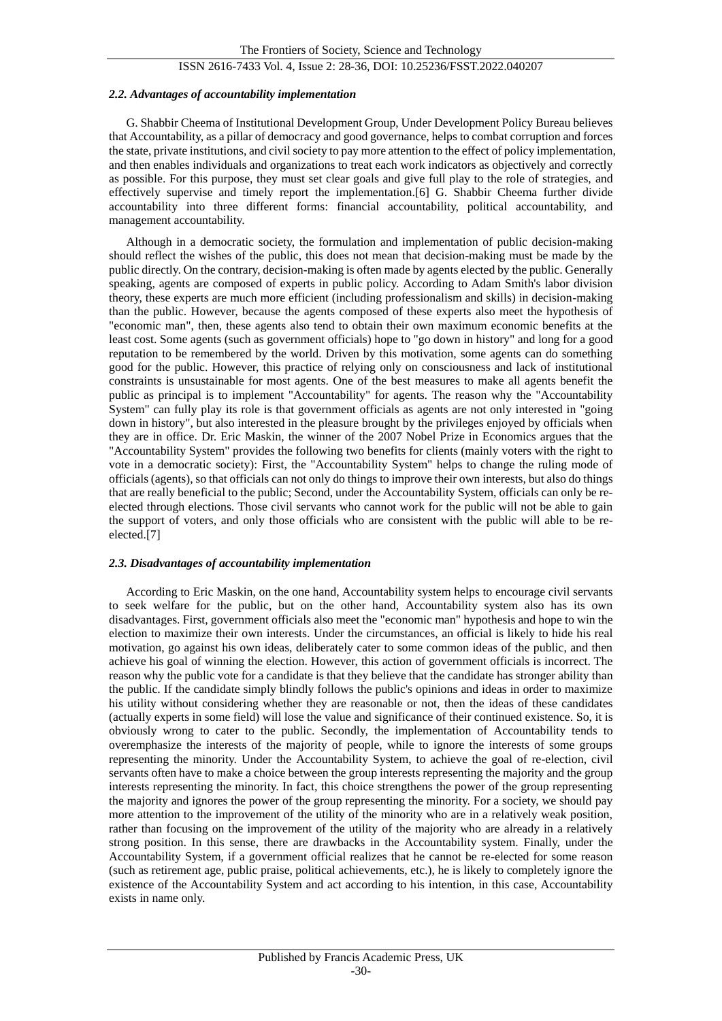#### *2.2. Advantages of accountability implementation*

G. Shabbir Cheema of Institutional Development Group, Under Development Policy Bureau believes that Accountability, as a pillar of democracy and good governance, helps to combat corruption and forces the state, private institutions, and civil society to pay more attention to the effect of policy implementation, and then enables individuals and organizations to treat each work indicators as objectively and correctly as possible. For this purpose, they must set clear goals and give full play to the role of strategies, and effectively supervise and timely report the implementation.[6] G. Shabbir Cheema further divide accountability into three different forms: financial accountability, political accountability, and management accountability.

Although in a democratic society, the formulation and implementation of public decision-making should reflect the wishes of the public, this does not mean that decision-making must be made by the public directly. On the contrary, decision-making is often made by agents elected by the public. Generally speaking, agents are composed of experts in public policy. According to Adam Smith's labor division theory, these experts are much more efficient (including professionalism and skills) in decision-making than the public. However, because the agents composed of these experts also meet the hypothesis of "economic man", then, these agents also tend to obtain their own maximum economic benefits at the least cost. Some agents (such as government officials) hope to "go down in history" and long for a good reputation to be remembered by the world. Driven by this motivation, some agents can do something good for the public. However, this practice of relying only on consciousness and lack of institutional constraints is unsustainable for most agents. One of the best measures to make all agents benefit the public as principal is to implement "Accountability" for agents. The reason why the "Accountability System" can fully play its role is that government officials as agents are not only interested in "going down in history", but also interested in the pleasure brought by the privileges enjoyed by officials when they are in office. Dr. Eric Maskin, the winner of the 2007 Nobel Prize in Economics argues that the "Accountability System" provides the following two benefits for clients (mainly voters with the right to vote in a democratic society): First, the "Accountability System" helps to change the ruling mode of officials (agents), so that officials can not only do things to improve their own interests, but also do things that are really beneficial to the public; Second, under the Accountability System, officials can only be reelected through elections. Those civil servants who cannot work for the public will not be able to gain the support of voters, and only those officials who are consistent with the public will able to be reelected.[7]

## *2.3. Disadvantages of accountability implementation*

According to Eric Maskin, on the one hand, Accountability system helps to encourage civil servants to seek welfare for the public, but on the other hand, Accountability system also has its own disadvantages. First, government officials also meet the "economic man" hypothesis and hope to win the election to maximize their own interests. Under the circumstances, an official is likely to hide his real motivation, go against his own ideas, deliberately cater to some common ideas of the public, and then achieve his goal of winning the election. However, this action of government officials is incorrect. The reason why the public vote for a candidate is that they believe that the candidate has stronger ability than the public. If the candidate simply blindly follows the public's opinions and ideas in order to maximize his utility without considering whether they are reasonable or not, then the ideas of these candidates (actually experts in some field) will lose the value and significance of their continued existence. So, it is obviously wrong to cater to the public. Secondly, the implementation of Accountability tends to overemphasize the interests of the majority of people, while to ignore the interests of some groups representing the minority. Under the Accountability System, to achieve the goal of re-election, civil servants often have to make a choice between the group interests representing the majority and the group interests representing the minority. In fact, this choice strengthens the power of the group representing the majority and ignores the power of the group representing the minority. For a society, we should pay more attention to the improvement of the utility of the minority who are in a relatively weak position, rather than focusing on the improvement of the utility of the majority who are already in a relatively strong position. In this sense, there are drawbacks in the Accountability system. Finally, under the Accountability System, if a government official realizes that he cannot be re-elected for some reason (such as retirement age, public praise, political achievements, etc.), he is likely to completely ignore the existence of the Accountability System and act according to his intention, in this case, Accountability exists in name only.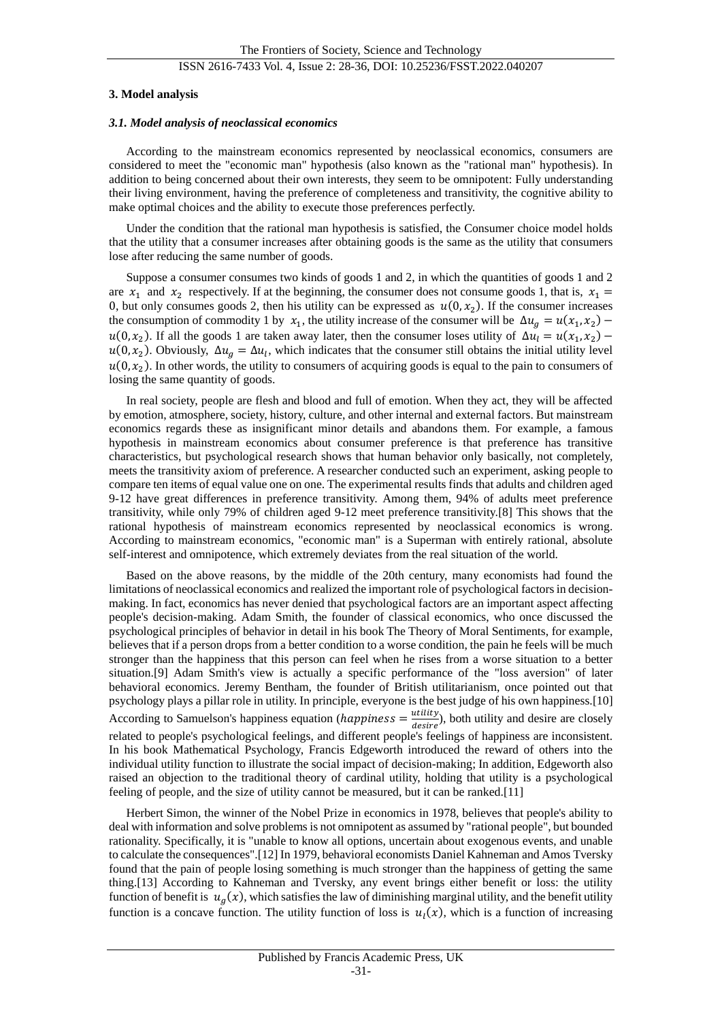#### **3. Model analysis**

#### *3.1. Model analysis of neoclassical economics*

According to the mainstream economics represented by neoclassical economics, consumers are considered to meet the "economic man" hypothesis (also known as the "rational man" hypothesis). In addition to being concerned about their own interests, they seem to be omnipotent: Fully understanding their living environment, having the preference of completeness and transitivity, the cognitive ability to make optimal choices and the ability to execute those preferences perfectly.

Under the condition that the rational man hypothesis is satisfied, the Consumer choice model holds that the utility that a consumer increases after obtaining goods is the same as the utility that consumers lose after reducing the same number of goods.

Suppose a consumer consumes two kinds of goods 1 and 2, in which the quantities of goods 1 and 2 are  $x_1$  and  $x_2$  respectively. If at the beginning, the consumer does not consume goods 1, that is,  $x_1 =$ 0, but only consumes goods 2, then his utility can be expressed as  $u(0, x_2)$ . If the consumer increases the consumption of commodity 1 by  $x_1$ , the utility increase of the consumer will be  $\Delta u_g = u(x_1, x_2)$  –  $u(0, x_2)$ . If all the goods 1 are taken away later, then the consumer loses utility of  $\Delta u_1 = u(x_1, x_2)$  $u(0, x_2)$ . Obviously,  $\Delta u_g = \Delta u_l$ , which indicates that the consumer still obtains the initial utility level  $u(0, x<sub>2</sub>)$ . In other words, the utility to consumers of acquiring goods is equal to the pain to consumers of losing the same quantity of goods.

In real society, people are flesh and blood and full of emotion. When they act, they will be affected by emotion, atmosphere, society, history, culture, and other internal and external factors. But mainstream economics regards these as insignificant minor details and abandons them. For example, a famous hypothesis in mainstream economics about consumer preference is that preference has transitive characteristics, but psychological research shows that human behavior only basically, not completely, meets the transitivity axiom of preference. A researcher conducted such an experiment, asking people to compare ten items of equal value one on one. The experimental results finds that adults and children aged 9-12 have great differences in preference transitivity. Among them, 94% of adults meet preference transitivity, while only 79% of children aged 9-12 meet preference transitivity.[8] This shows that the rational hypothesis of mainstream economics represented by neoclassical economics is wrong. According to mainstream economics, "economic man" is a Superman with entirely rational, absolute self-interest and omnipotence, which extremely deviates from the real situation of the world.

Based on the above reasons, by the middle of the 20th century, many economists had found the limitations of neoclassical economics and realized the important role of psychological factors in decisionmaking. In fact, economics has never denied that psychological factors are an important aspect affecting people's decision-making. Adam Smith, the founder of classical economics, who once discussed the psychological principles of behavior in detail in his book The Theory of Moral Sentiments, for example, believes that if a person drops from a better condition to a worse condition, the pain he feels will be much stronger than the happiness that this person can feel when he rises from a worse situation to a better situation.[9] Adam Smith's view is actually a specific performance of the "loss aversion" of later behavioral economics. Jeremy Bentham, the founder of British utilitarianism, once pointed out that psychology plays a pillar role in utility. In principle, everyone is the best judge of his own happiness.[10] According to Samuelson's happiness equation ( $happiness = \frac{utility}{d}$  $\frac{matrix}{desire}$ ), both utility and desire are closely related to people's psychological feelings, and different people's feelings of happiness are inconsistent. In his book Mathematical Psychology, Francis Edgeworth introduced the reward of others into the individual utility function to illustrate the social impact of decision-making; In addition, Edgeworth also raised an objection to the traditional theory of cardinal utility, holding that utility is a psychological feeling of people, and the size of utility cannot be measured, but it can be ranked.[11]

Herbert Simon, the winner of the Nobel Prize in economics in 1978, believes that people's ability to deal with information and solve problems is not omnipotent as assumed by "rational people", but bounded rationality. Specifically, it is "unable to know all options, uncertain about exogenous events, and unable to calculate the consequences".[12] In 1979, behavioral economists Daniel Kahneman and Amos Tversky found that the pain of people losing something is much stronger than the happiness of getting the same thing.[13] According to Kahneman and Tversky, any event brings either benefit or loss: the utility function of benefit is  $u_g(x)$ , which satisfies the law of diminishing marginal utility, and the benefit utility function is a concave function. The utility function of loss is  $u_l(x)$ , which is a function of increasing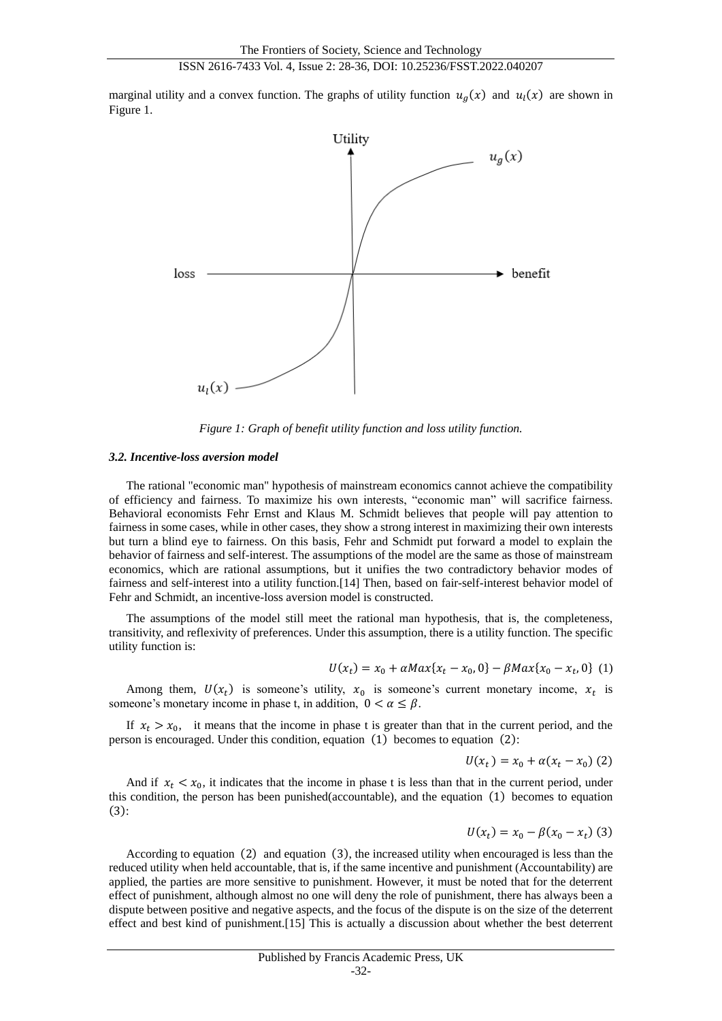marginal utility and a convex function. The graphs of utility function  $u_g(x)$  and  $u_l(x)$  are shown in Figure 1.



*Figure 1: Graph of benefit utility function and loss utility function.*

#### *3.2. Incentive-loss aversion model*

The rational "economic man" hypothesis of mainstream economics cannot achieve the compatibility of efficiency and fairness. To maximize his own interests, "economic man" will sacrifice fairness. Behavioral economists Fehr Ernst and Klaus M. Schmidt believes that people will pay attention to fairness in some cases, while in other cases, they show a strong interest in maximizing their own interests but turn a blind eye to fairness. On this basis, Fehr and Schmidt put forward a model to explain the behavior of fairness and self-interest. The assumptions of the model are the same as those of mainstream economics, which are rational assumptions, but it unifies the two contradictory behavior modes of fairness and self-interest into a utility function.[14] Then, based on fair-self-interest behavior model of Fehr and Schmidt, an incentive-loss aversion model is constructed.

The assumptions of the model still meet the rational man hypothesis, that is, the completeness, transitivity, and reflexivity of preferences. Under this assumption, there is a utility function. The specific utility function is:

$$
U(x_t) = x_0 + \alpha Max\{x_t - x_0, 0\} - \beta Max\{x_0 - x_t, 0\} (1)
$$

Among them,  $U(x_t)$  is someone's utility,  $x_0$  is someone's current monetary income,  $x_t$  is someone's monetary income in phase t, in addition,  $0 < \alpha \leq \beta$ .

If  $x_t > x_0$ , it means that the income in phase t is greater than that in the current period, and the person is encouraged. Under this condition, equation (1) becomes to equation (2):

$$
U(x_t) = x_0 + \alpha (x_t - x_0) (2)
$$

And if  $x_t < x_0$ , it indicates that the income in phase t is less than that in the current period, under this condition, the person has been punished(accountable), and the equation (1) becomes to equation (3):

$$
U(x_t) = x_0 - \beta (x_0 - x_t) (3)
$$

According to equation (2) and equation (3), the increased utility when encouraged is less than the reduced utility when held accountable, that is, if the same incentive and punishment (Accountability) are applied, the parties are more sensitive to punishment. However, it must be noted that for the deterrent effect of punishment, although almost no one will deny the role of punishment, there has always been a dispute between positive and negative aspects, and the focus of the dispute is on the size of the deterrent effect and best kind of punishment.[15] This is actually a discussion about whether the best deterrent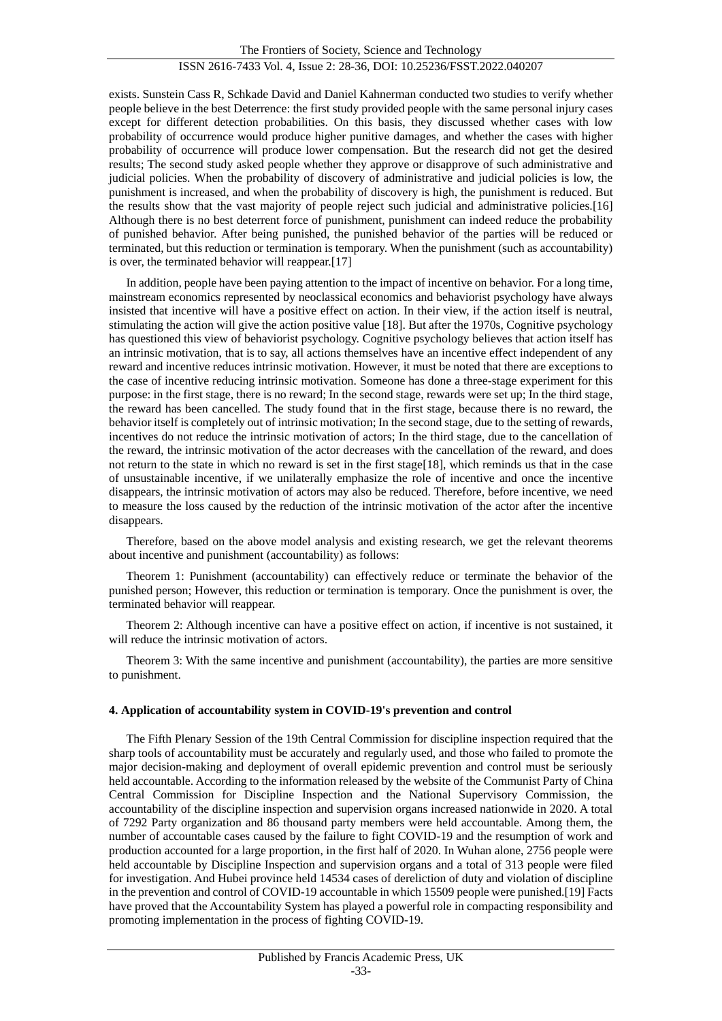exists. Sunstein Cass R, Schkade David and Daniel Kahnerman conducted two studies to verify whether people believe in the best Deterrence: the first study provided people with the same personal injury cases except for different detection probabilities. On this basis, they discussed whether cases with low probability of occurrence would produce higher punitive damages, and whether the cases with higher probability of occurrence will produce lower compensation. But the research did not get the desired results; The second study asked people whether they approve or disapprove of such administrative and judicial policies. When the probability of discovery of administrative and judicial policies is low, the punishment is increased, and when the probability of discovery is high, the punishment is reduced. But the results show that the vast majority of people reject such judicial and administrative policies.[16] Although there is no best deterrent force of punishment, punishment can indeed reduce the probability of punished behavior. After being punished, the punished behavior of the parties will be reduced or terminated, but this reduction or termination is temporary. When the punishment (such as accountability) is over, the terminated behavior will reappear.[17]

In addition, people have been paying attention to the impact of incentive on behavior. For a long time, mainstream economics represented by neoclassical economics and behaviorist psychology have always insisted that incentive will have a positive effect on action. In their view, if the action itself is neutral, stimulating the action will give the action positive value [18]. But after the 1970s, Cognitive psychology has questioned this view of behaviorist psychology. Cognitive psychology believes that action itself has an intrinsic motivation, that is to say, all actions themselves have an incentive effect independent of any reward and incentive reduces intrinsic motivation. However, it must be noted that there are exceptions to the case of incentive reducing intrinsic motivation. Someone has done a three-stage experiment for this purpose: in the first stage, there is no reward; In the second stage, rewards were set up; In the third stage, the reward has been cancelled. The study found that in the first stage, because there is no reward, the behavior itself is completely out of intrinsic motivation; In the second stage, due to the setting of rewards, incentives do not reduce the intrinsic motivation of actors; In the third stage, due to the cancellation of the reward, the intrinsic motivation of the actor decreases with the cancellation of the reward, and does not return to the state in which no reward is set in the first stage[18], which reminds us that in the case of unsustainable incentive, if we unilaterally emphasize the role of incentive and once the incentive disappears, the intrinsic motivation of actors may also be reduced. Therefore, before incentive, we need to measure the loss caused by the reduction of the intrinsic motivation of the actor after the incentive disappears.

Therefore, based on the above model analysis and existing research, we get the relevant theorems about incentive and punishment (accountability) as follows:

Theorem 1: Punishment (accountability) can effectively reduce or terminate the behavior of the punished person; However, this reduction or termination is temporary. Once the punishment is over, the terminated behavior will reappear.

Theorem 2: Although incentive can have a positive effect on action, if incentive is not sustained, it will reduce the intrinsic motivation of actors.

Theorem 3: With the same incentive and punishment (accountability), the parties are more sensitive to punishment.

## **4. Application of accountability system in COVID-19's prevention and control**

The Fifth Plenary Session of the 19th Central Commission for discipline inspection required that the sharp tools of accountability must be accurately and regularly used, and those who failed to promote the major decision-making and deployment of overall epidemic prevention and control must be seriously held accountable. According to the information released by the website of the Communist Party of China Central Commission for Discipline Inspection and the National Supervisory Commission, the accountability of the discipline inspection and supervision organs increased nationwide in 2020. A total of 7292 Party organization and 86 thousand party members were held accountable. Among them, the number of accountable cases caused by the failure to fight COVID-19 and the resumption of work and production accounted for a large proportion, in the first half of 2020. In Wuhan alone, 2756 people were held accountable by Discipline Inspection and supervision organs and a total of 313 people were filed for investigation. And Hubei province held 14534 cases of dereliction of duty and violation of discipline in the prevention and control of COVID-19 accountable in which 15509 people were punished.[19] Facts have proved that the Accountability System has played a powerful role in compacting responsibility and promoting implementation in the process of fighting COVID-19.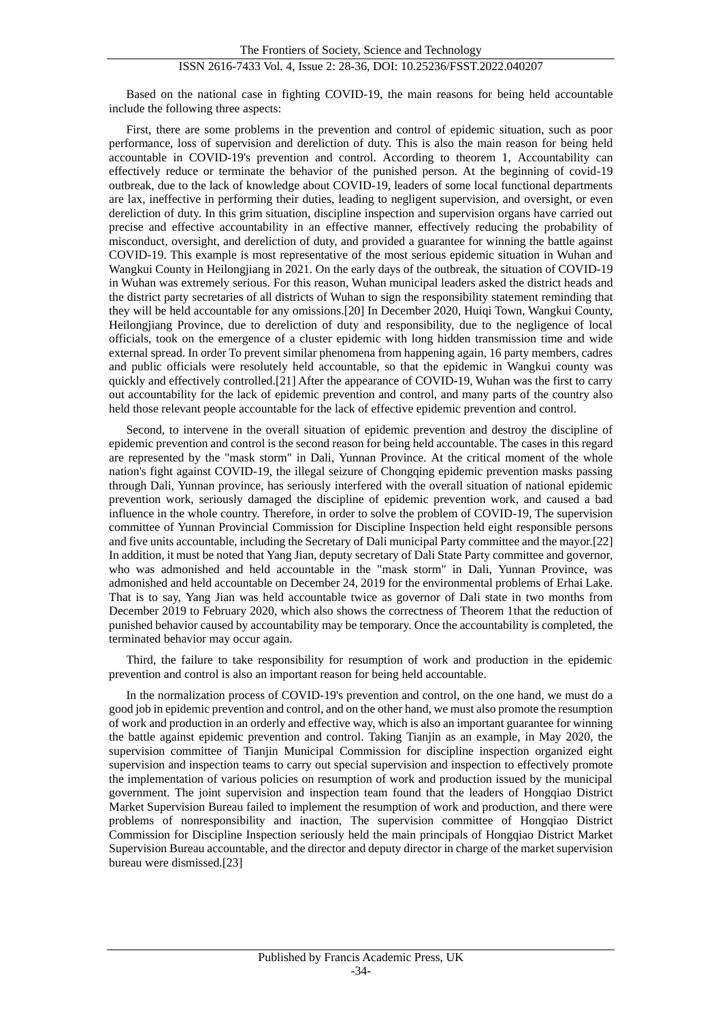Based on the national case in fighting COVID-19, the main reasons for being held accountable include the following three aspects:

First, there are some problems in the prevention and control of epidemic situation, such as poor performance, loss of supervision and dereliction of duty. This is also the main reason for being held accountable in COVID-19's prevention and control. According to theorem 1, Accountability can effectively reduce or terminate the behavior of the punished person. At the beginning of covid-19 outbreak, due to the lack of knowledge about COVID-19, leaders of some local functional departments are lax, ineffective in performing their duties, leading to negligent supervision, and oversight, or even dereliction of duty. In this grim situation, discipline inspection and supervision organs have carried out precise and effective accountability in an effective manner, effectively reducing the probability of misconduct, oversight, and dereliction of duty, and provided a guarantee for winning the battle against COVID-19. This example is most representative of the most serious epidemic situation in Wuhan and Wangkui County in Heilongjiang in 2021. On the early days of the outbreak, the situation of COVID-19 in Wuhan was extremely serious. For this reason, Wuhan municipal leaders asked the district heads and the district party secretaries of all districts of Wuhan to sign the responsibility statement reminding that they will be held accountable for any omissions.[20] In December 2020, Huiqi Town, Wangkui County, Heilongjiang Province, due to dereliction of duty and responsibility, due to the negligence of local officials, took on the emergence of a cluster epidemic with long hidden transmission time and wide external spread. In order To prevent similar phenomena from happening again, 16 party members, cadres and public officials were resolutely held accountable, so that the epidemic in Wangkui county was quickly and effectively controlled.[21] After the appearance of COVID-19, Wuhan was the first to carry out accountability for the lack of epidemic prevention and control, and many parts of the country also held those relevant people accountable for the lack of effective epidemic prevention and control.

Second, to intervene in the overall situation of epidemic prevention and destroy the discipline of epidemic prevention and control is the second reason for being held accountable. The cases in this regard are represented by the "mask storm" in Dali, Yunnan Province. At the critical moment of the whole nation's fight against COVID-19, the illegal seizure of Chongqing epidemic prevention masks passing through Dali, Yunnan province, has seriously interfered with the overall situation of national epidemic prevention work, seriously damaged the discipline of epidemic prevention work, and caused a bad influence in the whole country. Therefore, in order to solve the problem of COVID-19, The supervision committee of Yunnan Provincial Commission for Discipline Inspection held eight responsible persons and five units accountable, including the Secretary of Dali municipal Party committee and the mayor.[22] In addition, it must be noted that Yang Jian, deputy secretary of Dali State Party committee and governor, who was admonished and held accountable in the "mask storm" in Dali, Yunnan Province, was admonished and held accountable on December 24, 2019 for the environmental problems of Erhai Lake. That is to say, Yang Jian was held accountable twice as governor of Dali state in two months from December 2019 to February 2020, which also shows the correctness of Theorem 1that the reduction of punished behavior caused by accountability may be temporary. Once the accountability is completed, the terminated behavior may occur again.

Third, the failure to take responsibility for resumption of work and production in the epidemic prevention and control is also an important reason for being held accountable.

In the normalization process of COVID-19's prevention and control, on the one hand, we must do a good job in epidemic prevention and control, and on the other hand, we must also promote the resumption of work and production in an orderly and effective way, which is also an important guarantee for winning the battle against epidemic prevention and control. Taking Tianjin as an example, in May 2020, the supervision committee of Tianjin Municipal Commission for discipline inspection organized eight supervision and inspection teams to carry out special supervision and inspection to effectively promote the implementation of various policies on resumption of work and production issued by the municipal government. The joint supervision and inspection team found that the leaders of Hongqiao District Market Supervision Bureau failed to implement the resumption of work and production, and there were problems of nonresponsibility and inaction, The supervision committee of Hongqiao District Commission for Discipline Inspection seriously held the main principals of Hongqiao District Market Supervision Bureau accountable, and the director and deputy director in charge of the market supervision bureau were dismissed.[23]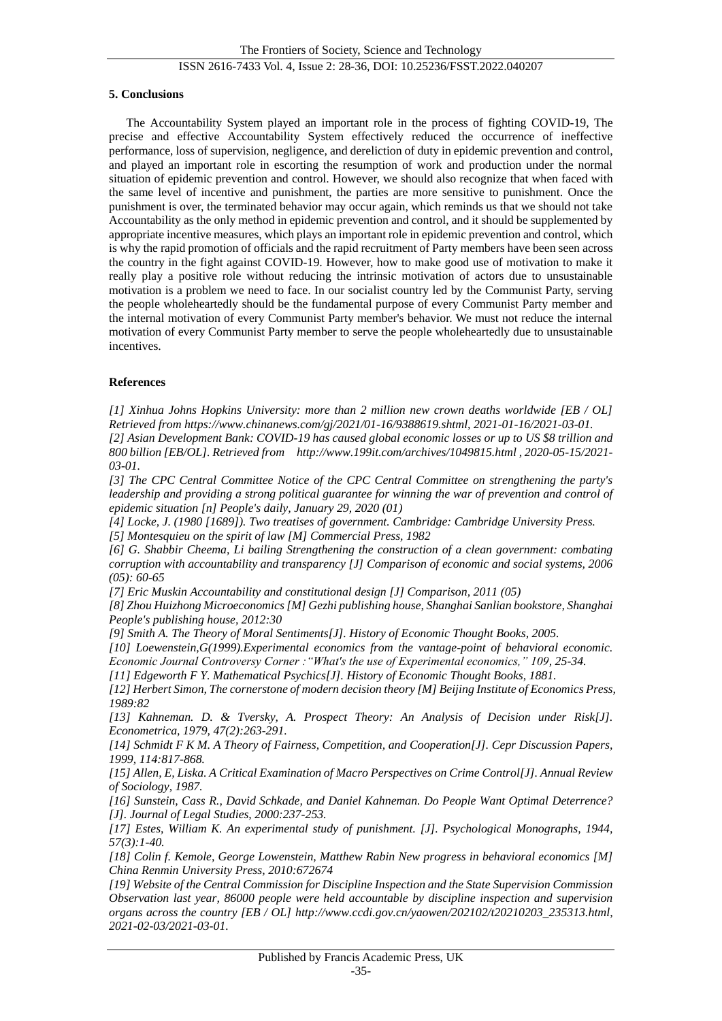## **5. Conclusions**

The Accountability System played an important role in the process of fighting COVID-19, The precise and effective Accountability System effectively reduced the occurrence of ineffective performance, loss of supervision, negligence, and dereliction of duty in epidemic prevention and control, and played an important role in escorting the resumption of work and production under the normal situation of epidemic prevention and control. However, we should also recognize that when faced with the same level of incentive and punishment, the parties are more sensitive to punishment. Once the punishment is over, the terminated behavior may occur again, which reminds us that we should not take Accountability as the only method in epidemic prevention and control, and it should be supplemented by appropriate incentive measures, which plays an important role in epidemic prevention and control, which is why the rapid promotion of officials and the rapid recruitment of Party members have been seen across the country in the fight against COVID-19. However, how to make good use of motivation to make it really play a positive role without reducing the intrinsic motivation of actors due to unsustainable motivation is a problem we need to face. In our socialist country led by the Communist Party, serving the people wholeheartedly should be the fundamental purpose of every Communist Party member and the internal motivation of every Communist Party member's behavior. We must not reduce the internal motivation of every Communist Party member to serve the people wholeheartedly due to unsustainable incentives.

## **References**

*[1] Xinhua Johns Hopkins University: more than 2 million new crown deaths worldwide [EB / OL] Retrieved from https://www.chinanews.com/gj/2021/01-16/9388619.shtml, 2021-01-16/2021-03-01.*

*[2] Asian Development Bank: COVID-19 has caused global economic losses or up to US \$8 trillion and 800 billion [EB/OL]. Retrieved from <http://www.199it.com/archives/1049815.html> , 2020-05-15/2021- 03-01.*

*[3] The CPC Central Committee Notice of the CPC Central Committee on strengthening the party's leadership and providing a strong political guarantee for winning the war of prevention and control of epidemic situation [n] People's daily, January 29, 2020 (01)*

*[4] Locke, J. (1980 [1689]). Two treatises of government. Cambridge: Cambridge University Press.*

*[5] Montesquieu on the spirit of law [M] Commercial Press, 1982*

*[6] G. Shabbir Cheema, Li bailing Strengthening the construction of a clean government: combating corruption with accountability and transparency [J] Comparison of economic and social systems, 2006 (05): 60-65*

*[7] Eric Muskin Accountability and constitutional design [J] Comparison, 2011 (05)*

*[8] Zhou Huizhong Microeconomics [M] Gezhi publishing house, Shanghai Sanlian bookstore, Shanghai People's publishing house, 2012:30*

*[9] Smith A. The Theory of Moral Sentiments[J]. History of Economic Thought Books, 2005.*

*[10] Loewenstein,G(1999).Experimental economics from the vantage-point of behavioral economic. Economic Journal Controversy Corner :"What's the use of Experimental economics," 109, 25-34.*

*[11] Edgeworth F Y. Mathematical Psychics[J]. History of Economic Thought Books, 1881.*

*[12] Herbert Simon, The cornerstone of modern decision theory [M] Beijing Institute of Economics Press, 1989:82*

*[13] Kahneman. D. & Tversky, A. Prospect Theory: An Analysis of Decision under Risk[J]. Econometrica, 1979, 47(2):263-291.*

*[14] Schmidt F K M. A Theory of Fairness, Competition, and Cooperation[J]. Cepr Discussion Papers, 1999, 114:817-868.*

*[15] Allen, E, Liska. A Critical Examination of Macro Perspectives on Crime Control[J]. Annual Review of Sociology, 1987.*

*[16] Sunstein, Cass R., David Schkade, and Daniel Kahneman. Do People Want Optimal Deterrence? [J]. Journal of Legal Studies, 2000:237-253.*

*[17] Estes, William K. An experimental study of punishment. [J]. Psychological Monographs, 1944, 57(3):1-40.*

*[18] Colin f. Kemole, George Lowenstein, Matthew Rabin New progress in behavioral economics [M] China Renmin University Press, 2010:672674*

*[19] Website of the Central Commission for Discipline Inspection and the State Supervision Commission Observation last year, 86000 people were held accountable by discipline inspection and supervision organs across the country [EB / OL] [http://www.ccdi.gov.cn/yaowen/202102/t20210203\\_235313.html,](http://www.ccdi.gov.cn/yaowen/202102/t20210203_235313.html，2021-02-03/2021-03-01)  [2021-02-03/2021-03-01.](http://www.ccdi.gov.cn/yaowen/202102/t20210203_235313.html，2021-02-03/2021-03-01)*